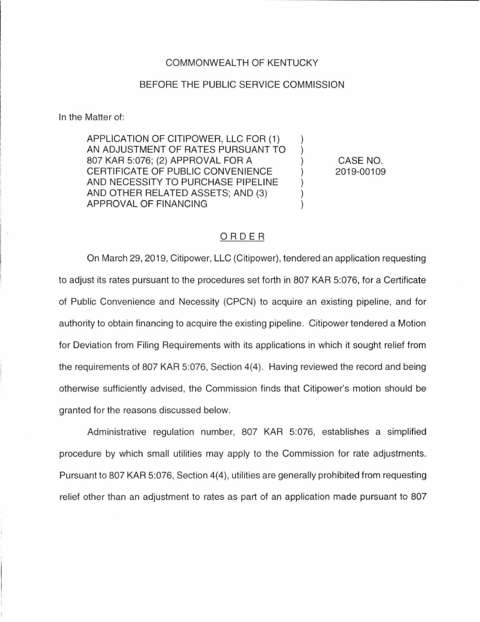## COMMONWEALTH OF KENTUCKY

## BEFORE THE PUBLIC SERVICE COMMISSION

In the Matter of:

APPLICATION OF CITIPOWER, LLC FOR (1) AN ADJUSTMENT OF RATES PURSUANT TO 807 KAR 5:076; (2) APPROVAL FOR A CERTIFICATE OF PUBLIC CONVENIENCE AND NECESSITY TO PURCHASE PIPELINE AND OTHER RELATED ASSETS; AND (3) APPROVAL OF FINANCING

CASE NO. 2019-00109

 $\mathcal{L}$  $\mathcal{E}$  $\mathcal{E}$  $\mathcal{L}$ 

## ORDER

On March 29, 2019, Citipower, LLC (Citipower), tendered an application requesting to adjust its rates pursuant to the procedures set forth in 807 KAR 5:076, for a Certificate of Public Convenience and Necessity (CPCN) to acquire an existing pipeline, and for authority to obtain financing to acquire the existing pipeline. Citipower tendered a Motion for Deviation from Filing Requirements with its applications in which it sought relief from the requirements of 807 KAR 5:076, Section 4(4). Having reviewed the record and being otherwise sufficiently advised, the Commission finds that Citipower's motion should be granted for the reasons discussed below.

Administrative regulation number, 807 KAR 5:076, establishes a simplified procedure by which small utilities may apply to the Commission for rate adjustments. Pursuant to 807 KAR 5:076, Section 4(4), utilities are generally prohibited from requesting relief other than an adjustment to rates as part of an application made pursuant to 807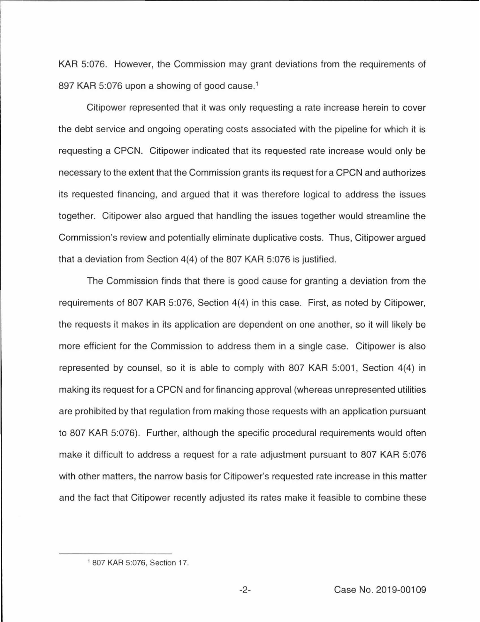KAR 5:076. However, the Commission may grant deviations from the requirements of 897 KAR 5:076 upon a showing of good cause.<sup>1</sup>

Citipower represented that it was only requesting a rate increase herein to cover the debt service and ongoing operating costs associated with the pipeline for which it is requesting a CPCN. Citipower indicated that its requested rate increase would only be necessary to the extent that the Commission grants its request for a CPCN and authorizes its requested financing, and argued that it was therefore logical to address the issues together. Citipower also argued that handling the issues together would streamline the Commission's review and potentially eliminate duplicative costs. Thus, Citipower argued that a deviation from Section 4(4) of the 807 KAR 5:076 is justified.

The Commission finds that there is good cause for granting a deviation from the requirements of 807 KAR 5:076, Section 4(4) in this case. First, as noted by Citipower, the requests it makes in its application are dependent on one another, so it will likely be more efficient for the Commission to address them in a single case. Citipower is also represented by counsel, so it is able to comply with 807 KAR 5:001, Section 4(4) in making its request for a CPCN and for financing approval (whereas unrepresented utilities are prohibited by that regulation from making those requests with an application pursuant to 807 KAR 5:076). Further, although the specific procedural requirements would often make it difficult to address a request for a rate adjustment pursuant to 807 KAR 5:076 with other matters, the narrow basis for Citipower's requested rate increase in this matter and the fact that Citipower recently adjusted its rates make it feasible to combine these

<sup>1</sup>807 KAR 5:076, Section 17.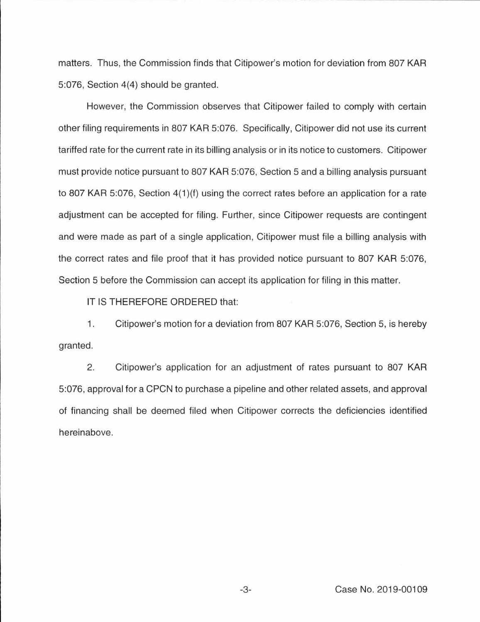matters. Thus, the Commission finds that Citipower's motion for deviation from 807 KAR 5:076, Section 4(4) should be granted.

However, the Commission observes that Citipower failed to comply with certain other filing requirements in 807 KAR 5:076. Specifically, Citipower did not use its current tariffed rate for the current rate in its billing analysis or in its notice to customers. Citipower must provide notice pursuant to 807 KAR 5:076, Section 5 and a billing analysis pursuant to 807 KAR 5:076, Section 4(1 )(f) using the correct rates before an application for a rate adjustment can be accepted for filing. Further, since Citipower requests are contingent and were made as part of a single application, Citipower must file a billing analysis with the correct rates and file proof that it has provided notice pursuant to 807 KAR 5:076, Section 5 before the Commission can accept its application for filing in this matter.

IT IS THEREFORE ORDERED that:

1. Citipower's motion for a deviation from 807 KAR 5:076, Section 5, is hereby granted.

2. Citipower's application for an adjustment of rates pursuant to 807 KAR 5:076, approval for a CPCN to purchase a pipeline and other related assets, and approval of financing shall be deemed filed when Citipower corrects the deficiencies identified hereinabove.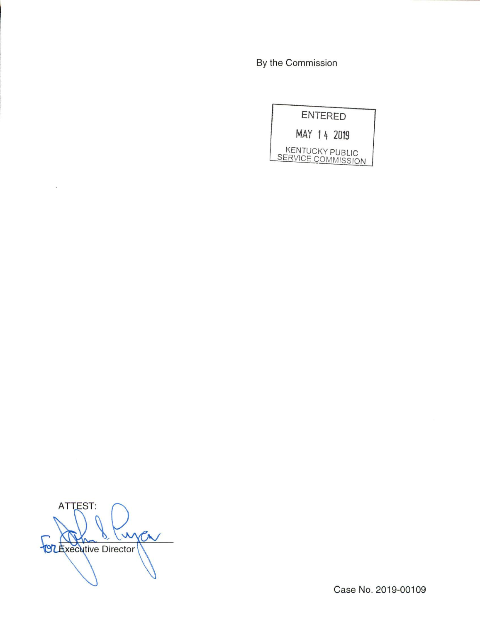By the Commission

|                                              | <b>ENTERED</b> |
|----------------------------------------------|----------------|
| MAY 14 2019                                  |                |
| <b>KENTUCKY PUBLIC</b><br>SERVICE COMMISSION |                |

**ATTEST:** Luna  $\mathcal{P}$ **STEXECUTIVE DIRECT** 

 $\lambda$ 

Case No. 2019-00109